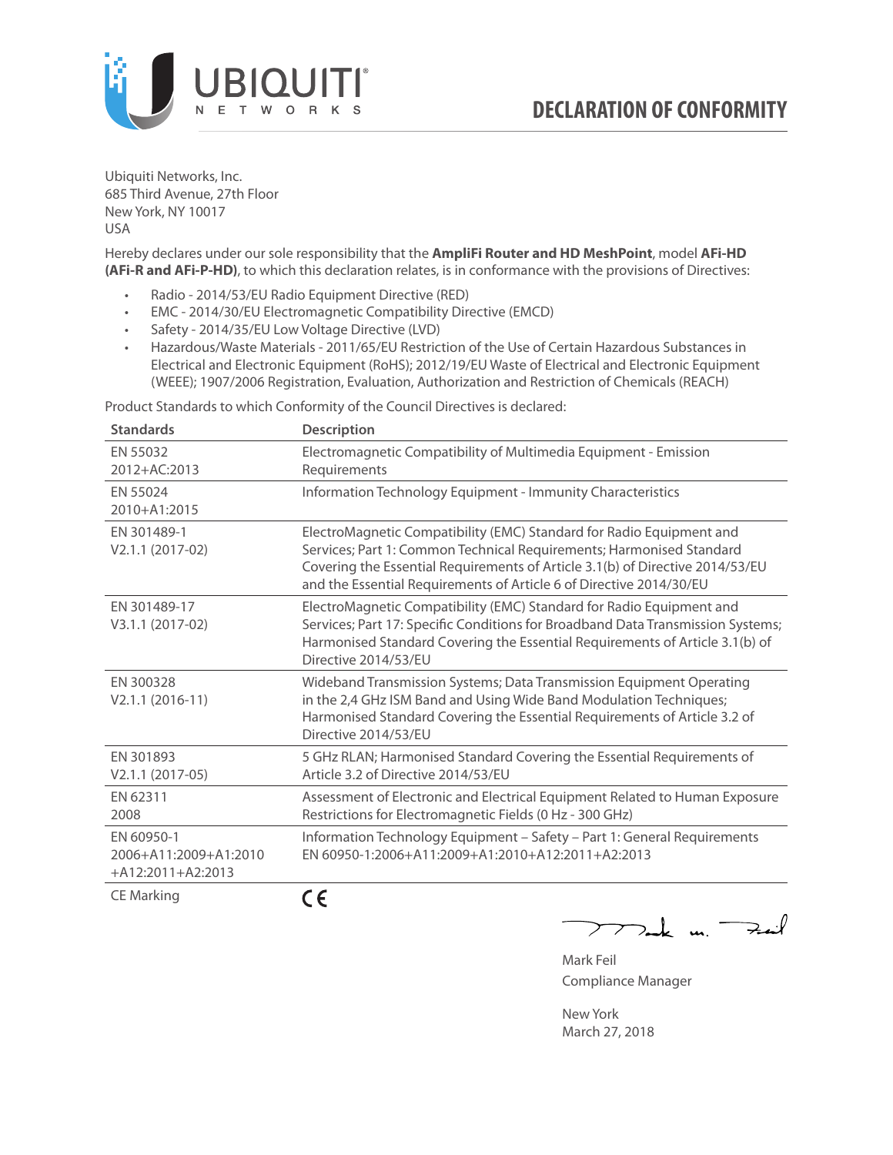

Ubiquiti Networks, Inc. 685 Third Avenue, 27th Floor New York, NY 10017 USA

Hereby declares under our sole responsibility that the **AmpliFi Router and HD MeshPoint**, model **AFi-HD (AFi-R and AFi-P-HD)**, to which this declaration relates, is in conformance with the provisions of Directives:

- Radio 2014/53/EU Radio Equipment Directive (RED)
- EMC 2014/30/EU Electromagnetic Compatibility Directive (EMCD)
- Safety 2014/35/EU Low Voltage Directive (LVD)
- Hazardous/Waste Materials 2011/65/EU Restriction of the Use of Certain Hazardous Substances in Electrical and Electronic Equipment (RoHS); 2012/19/EU Waste of Electrical and Electronic Equipment (WEEE); 1907/2006 Registration, Evaluation, Authorization and Restriction of Chemicals (REACH)

Product Standards to which Conformity of the Council Directives is declared:

| <b>Standards</b>                                           | <b>Description</b>                                                                                                                                                                                                                                                                                   |
|------------------------------------------------------------|------------------------------------------------------------------------------------------------------------------------------------------------------------------------------------------------------------------------------------------------------------------------------------------------------|
| EN 55032<br>2012+AC:2013                                   | Electromagnetic Compatibility of Multimedia Equipment - Emission<br>Requirements                                                                                                                                                                                                                     |
| EN 55024<br>2010+A1:2015                                   | Information Technology Equipment - Immunity Characteristics                                                                                                                                                                                                                                          |
| EN 301489-1<br>V2.1.1 (2017-02)                            | ElectroMagnetic Compatibility (EMC) Standard for Radio Equipment and<br>Services; Part 1: Common Technical Requirements; Harmonised Standard<br>Covering the Essential Requirements of Article 3.1(b) of Directive 2014/53/EU<br>and the Essential Requirements of Article 6 of Directive 2014/30/EU |
| EN 301489-17<br>V3.1.1 (2017-02)                           | ElectroMagnetic Compatibility (EMC) Standard for Radio Equipment and<br>Services; Part 17: Specific Conditions for Broadband Data Transmission Systems;<br>Harmonised Standard Covering the Essential Requirements of Article 3.1(b) of<br>Directive 2014/53/EU                                      |
| EN 300328<br>$V2.1.1 (2016-11)$                            | Wideband Transmission Systems; Data Transmission Equipment Operating<br>in the 2,4 GHz ISM Band and Using Wide Band Modulation Techniques;<br>Harmonised Standard Covering the Essential Requirements of Article 3.2 of<br>Directive 2014/53/EU                                                      |
| EN 301893<br>$V2.1.1 (2017-05)$                            | 5 GHz RLAN; Harmonised Standard Covering the Essential Requirements of<br>Article 3.2 of Directive 2014/53/EU                                                                                                                                                                                        |
| EN 62311<br>2008                                           | Assessment of Electronic and Electrical Equipment Related to Human Exposure<br>Restrictions for Electromagnetic Fields (0 Hz - 300 GHz)                                                                                                                                                              |
| EN 60950-1<br>2006+A11:2009+A1:2010<br>$+A12:2011+A2:2013$ | Information Technology Equipment - Safety - Part 1: General Requirements<br>EN 60950-1:2006+A11:2009+A1:2010+A12:2011+A2:2013                                                                                                                                                                        |
| $\sim$ $\sim$ $\sim$ $\sim$ $\sim$                         | - -                                                                                                                                                                                                                                                                                                  |

CE Marking

CE

Ik m. Fait  $\overline{\phantom{a}}$ 

Mark Feil Compliance Manager

New York March 27, 2018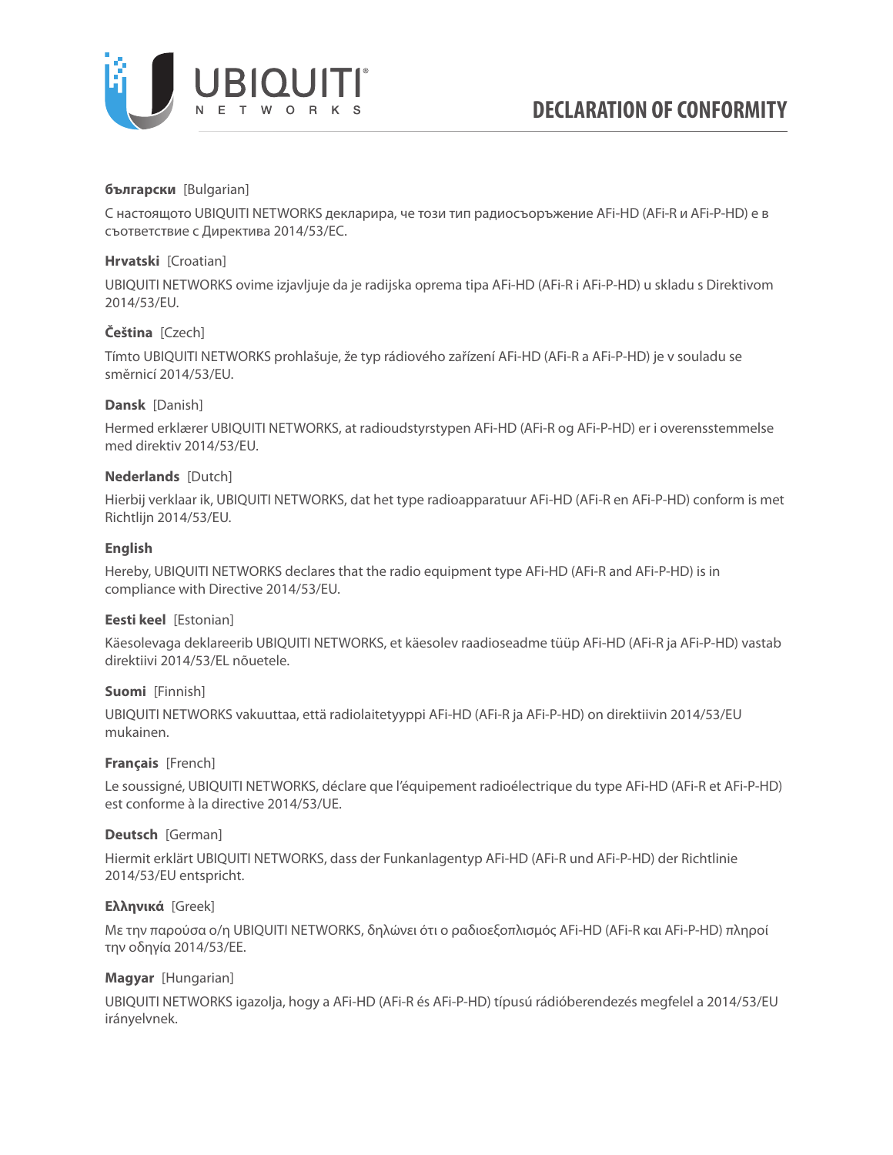

### **български** [Bulgarian]

С настоящото UBIQUITI NETWORKS декларира, че този тип радиосъоръжение AFi-HD (AFi-R и AFi-P-HD) е в съответствие с Директива 2014/53/ЕС.

### **Hrvatski** [Croatian]

UBIQUITI NETWORKS ovime izjavljuje da je radijska oprema tipa AFi-HD (AFi-R i AFi-P-HD) u skladu s Direktivom 2014/53/EU.

# **Čeština** [Czech]

Tímto UBIQUITI NETWORKS prohlašuje, že typ rádiového zařízení AFi-HD (AFi-R a AFi-P-HD) je v souladu se směrnicí 2014/53/EU.

### **Dansk** [Danish]

Hermed erklærer UBIQUITI NETWORKS, at radioudstyrstypen AFi-HD (AFi-R og AFi-P-HD) er i overensstemmelse med direktiv 2014/53/EU.

### **Nederlands** [Dutch]

Hierbij verklaar ik, UBIQUITI NETWORKS, dat het type radioapparatuur AFi-HD (AFi-R en AFi-P-HD) conform is met Richtlijn 2014/53/EU.

# **English**

Hereby, UBIQUITI NETWORKS declares that the radio equipment type AFi-HD (AFi-R and AFi-P-HD) is in compliance with Directive 2014/53/EU.

### **Eesti keel** [Estonian]

Käesolevaga deklareerib UBIQUITI NETWORKS, et käesolev raadioseadme tüüp AFi-HD (AFi-R ja AFi-P-HD) vastab direktiivi 2014/53/EL nõuetele.

### **Suomi** [Finnish]

UBIQUITI NETWORKS vakuuttaa, että radiolaitetyyppi AFi-HD (AFi-R ja AFi-P-HD) on direktiivin 2014/53/EU mukainen.

### **Français** [French]

Le soussigné, UBIQUITI NETWORKS, déclare que l'équipement radioélectrique du type AFi-HD (AFi-R et AFi-P-HD) est conforme à la directive 2014/53/UE.

### **Deutsch** [German]

Hiermit erklärt UBIQUITI NETWORKS, dass der Funkanlagentyp AFi-HD (AFi-R und AFi-P-HD) der Richtlinie 2014/53/EU entspricht.

### **Ελληνικά** [Greek]

Με την παρούσα ο/η UBIQUITI NETWORKS, δηλώνει ότι ο ραδιοεξοπλισμός AFi-HD (AFi-R και AFi-P-HD) πληροί την οδηγία 2014/53/ΕΕ.

### **Magyar** [Hungarian]

UBIQUITI NETWORKS igazolja, hogy a AFi-HD (AFi-R és AFi-P-HD) típusú rádióberendezés megfelel a 2014/53/EU irányelvnek.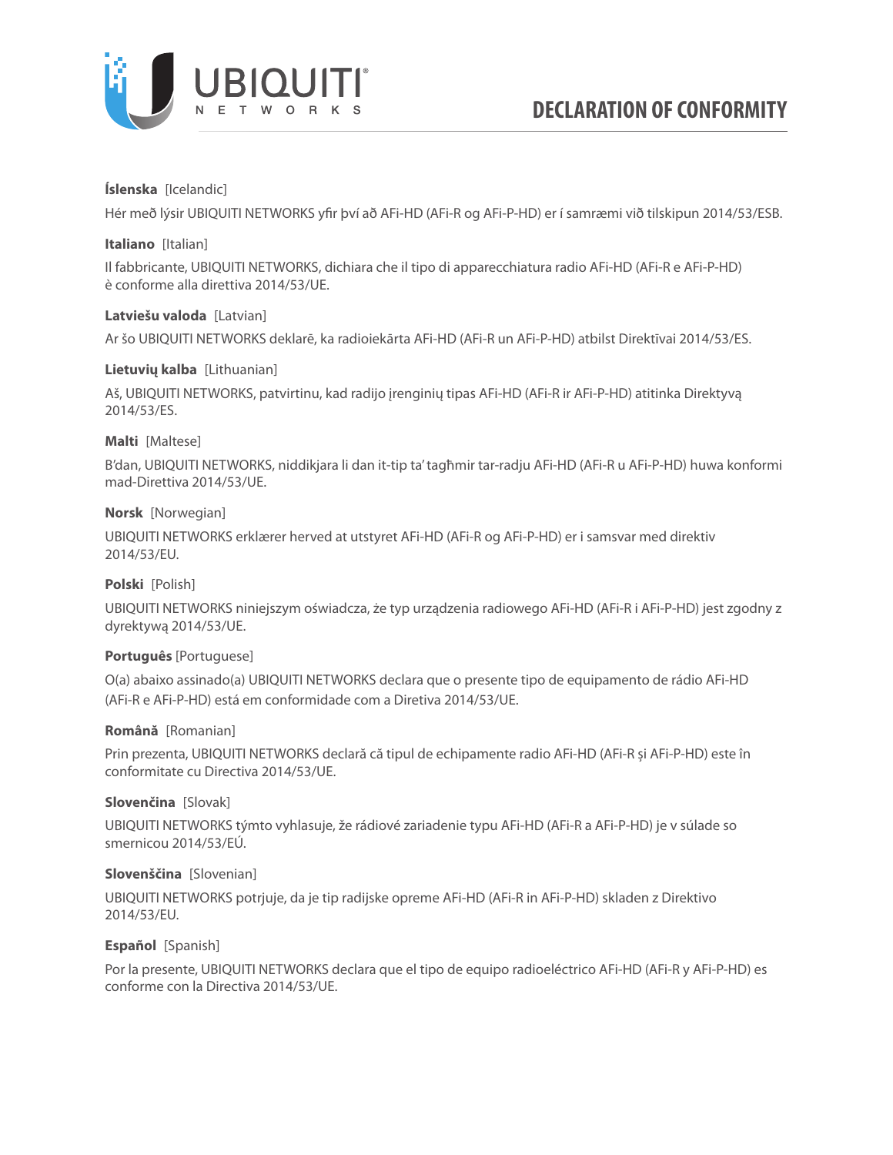

# **Íslenska** [Icelandic]

Hér með lýsir UBIQUITI NETWORKS yfir því að AFi-HD (AFi-R og AFi-P-HD) er í samræmi við tilskipun 2014/53/ESB.

### **Italiano** [Italian]

Il fabbricante, UBIQUITI NETWORKS, dichiara che il tipo di apparecchiatura radio AFi-HD (AFi-R e AFi-P-HD) è conforme alla direttiva 2014/53/UE.

### **Latviešu valoda** [Latvian]

Ar šo UBIQUITI NETWORKS deklarē, ka radioiekārta AFi-HD (AFi-R un AFi-P-HD) atbilst Direktīvai 2014/53/ES.

# **Lietuvių kalba** [Lithuanian]

Aš, UBIQUITI NETWORKS, patvirtinu, kad radijo įrenginių tipas AFi-HD (AFi-R ir AFi-P-HD) atitinka Direktyvą 2014/53/ES.

# **Malti** [Maltese]

B'dan, UBIQUITI NETWORKS, niddikjara li dan it-tip ta' tagħmir tar-radju AFi-HD (AFi-R u AFi-P-HD) huwa konformi mad-Direttiva 2014/53/UE.

# **Norsk** [Norwegian]

UBIQUITI NETWORKS erklærer herved at utstyret AFi-HD (AFi-R og AFi-P-HD) er i samsvar med direktiv 2014/53/EU.

# **Polski** [Polish]

UBIQUITI NETWORKS niniejszym oświadcza, że typ urządzenia radiowego AFi-HD (AFi-R i AFi-P-HD) jest zgodny z dyrektywą 2014/53/UE.

### **Português** [Portuguese]

O(a) abaixo assinado(a) UBIQUITI NETWORKS declara que o presente tipo de equipamento de rádio AFi-HD (AFi-R e AFi-P-HD) está em conformidade com a Diretiva 2014/53/UE.

### **Română** [Romanian]

Prin prezenta, UBIQUITI NETWORKS declară că tipul de echipamente radio AFi-HD (AFi-R și AFi-P-HD) este în conformitate cu Directiva 2014/53/UE.

### **Slovenčina** [Slovak]

UBIQUITI NETWORKS týmto vyhlasuje, že rádiové zariadenie typu AFi-HD (AFi-R a AFi-P-HD) je v súlade so smernicou 2014/53/EÚ.

# **Slovenščina** [Slovenian]

UBIQUITI NETWORKS potrjuje, da je tip radijske opreme AFi-HD (AFi-R in AFi-P-HD) skladen z Direktivo 2014/53/EU.

### **Español** [Spanish]

Por la presente, UBIQUITI NETWORKS declara que el tipo de equipo radioeléctrico AFi-HD (AFi-R y AFi-P-HD) es conforme con la Directiva 2014/53/UE.